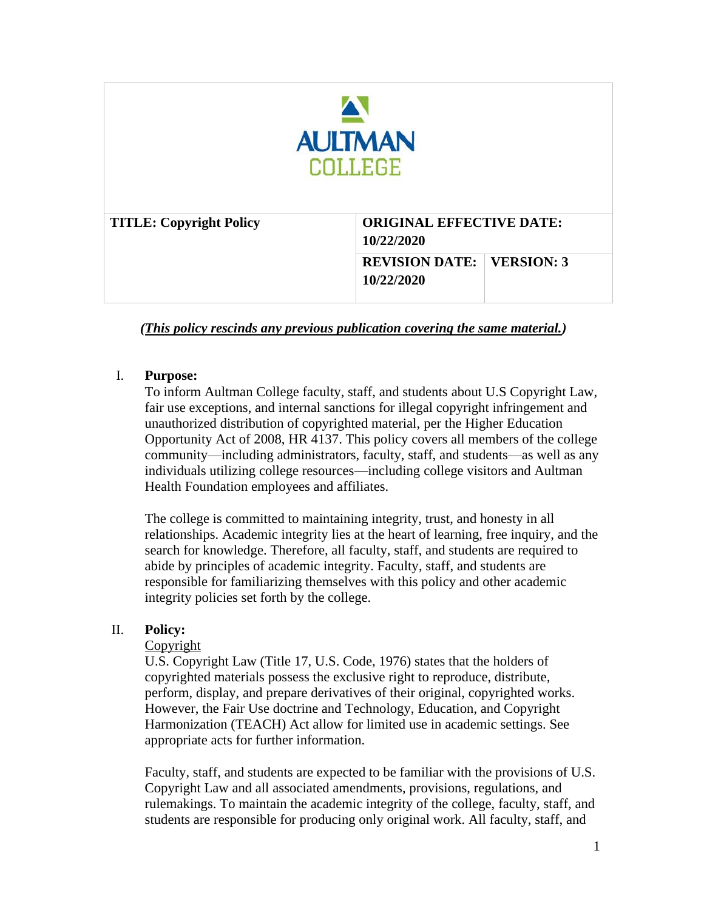| <b>AULTMAN</b><br><b>COLLEGE</b> |                                                          |
|----------------------------------|----------------------------------------------------------|
| <b>TITLE: Copyright Policy</b>   | <b>ORIGINAL EFFECTIVE DATE:</b><br>10/22/2020            |
|                                  | <b>REVISION DATE:</b><br><b>VERSION: 3</b><br>10/22/2020 |

*(This policy rescinds any previous publication covering the same material.)*

## I. **Purpose:**

To inform Aultman College faculty, staff, and students about U.S Copyright Law, fair use exceptions, and internal sanctions for illegal copyright infringement and unauthorized distribution of copyrighted material, per the Higher Education Opportunity Act of 2008, HR 4137. This policy covers all members of the college community—including administrators, faculty, staff, and students—as well as any individuals utilizing college resources—including college visitors and Aultman Health Foundation employees and affiliates.

The college is committed to maintaining integrity, trust, and honesty in all relationships. Academic integrity lies at the heart of learning, free inquiry, and the search for knowledge. Therefore, all faculty, staff, and students are required to abide by principles of academic integrity. Faculty, staff, and students are responsible for familiarizing themselves with this policy and other academic integrity policies set forth by the college.

### II. **Policy:**

### Copyright

U.S. Copyright Law (Title 17, U.S. Code, 1976) states that the holders of copyrighted materials possess the exclusive right to reproduce, distribute, perform, display, and prepare derivatives of their original, copyrighted works. However, the Fair Use doctrine and Technology, Education, and Copyright Harmonization (TEACH) Act allow for limited use in academic settings. See appropriate acts for further information.

Faculty, staff, and students are expected to be familiar with the provisions of U.S. Copyright Law and all associated amendments, provisions, regulations, and rulemakings. To maintain the academic integrity of the college, faculty, staff, and students are responsible for producing only original work. All faculty, staff, and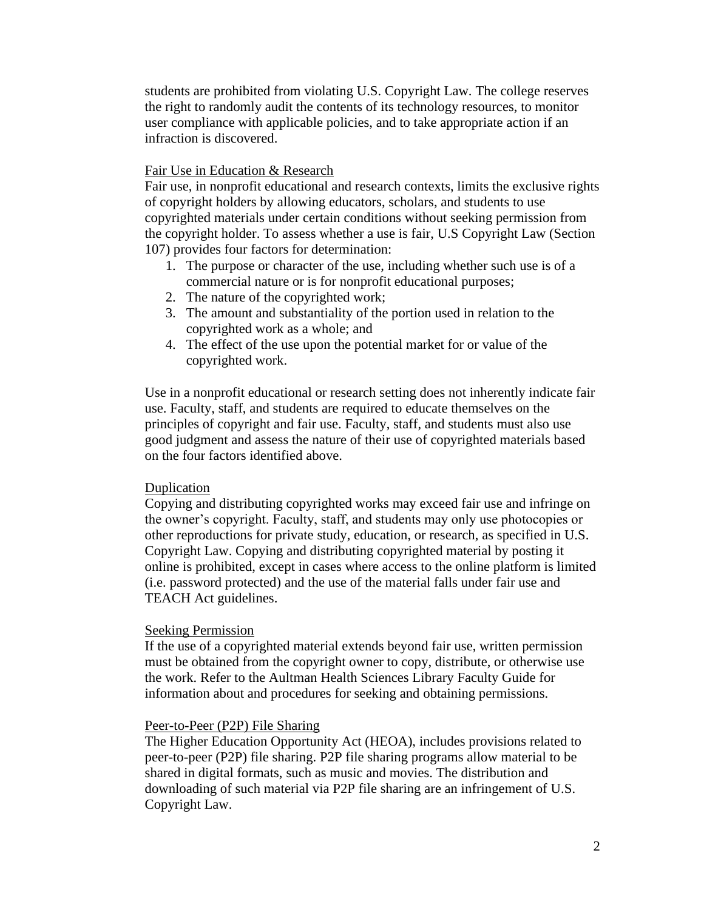students are prohibited from violating U.S. Copyright Law. The college reserves the right to randomly audit the contents of its technology resources, to monitor user compliance with applicable policies, and to take appropriate action if an infraction is discovered.

### Fair Use in Education & Research

Fair use, in nonprofit educational and research contexts, limits the exclusive rights of copyright holders by allowing educators, scholars, and students to use copyrighted materials under certain conditions without seeking permission from the copyright holder. To assess whether a use is fair, U.S Copyright Law (Section 107) provides four factors for determination:

- 1. The purpose or character of the use, including whether such use is of a commercial nature or is for nonprofit educational purposes;
- 2. The nature of the copyrighted work;
- 3. The amount and substantiality of the portion used in relation to the copyrighted work as a whole; and
- 4. The effect of the use upon the potential market for or value of the copyrighted work.

Use in a nonprofit educational or research setting does not inherently indicate fair use. Faculty, staff, and students are required to educate themselves on the principles of copyright and fair use. Faculty, staff, and students must also use good judgment and assess the nature of their use of copyrighted materials based on the four factors identified above.

### Duplication

Copying and distributing copyrighted works may exceed fair use and infringe on the owner's copyright. Faculty, staff, and students may only use photocopies or other reproductions for private study, education, or research, as specified in U.S. Copyright Law. Copying and distributing copyrighted material by posting it online is prohibited, except in cases where access to the online platform is limited (i.e. password protected) and the use of the material falls under fair use and TEACH Act guidelines.

### Seeking Permission

If the use of a copyrighted material extends beyond fair use, written permission must be obtained from the copyright owner to copy, distribute, or otherwise use the work. Refer to the Aultman Health Sciences Library Faculty Guide for information about and procedures for seeking and obtaining permissions.

### Peer-to-Peer (P2P) File Sharing

The Higher Education Opportunity Act (HEOA), includes provisions related to peer-to-peer (P2P) file sharing. P2P file sharing programs allow material to be shared in digital formats, such as music and movies. The distribution and downloading of such material via P2P file sharing are an infringement of U.S. Copyright Law.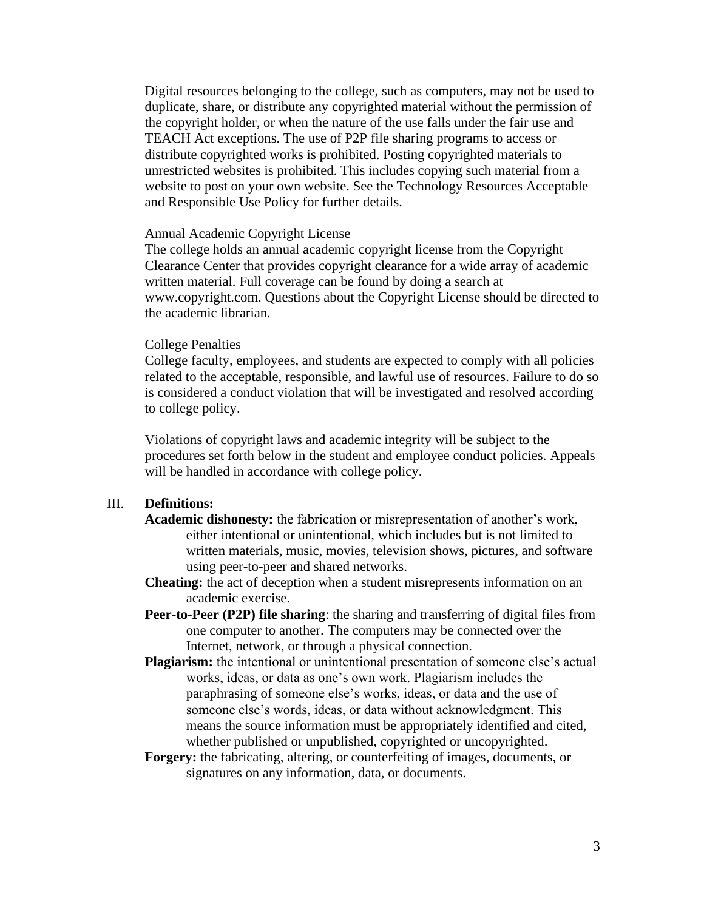Digital resources belonging to the college, such as computers, may not be used to duplicate, share, or distribute any copyrighted material without the permission of the copyright holder, or when the nature of the use falls under the fair use and TEACH Act exceptions. The use of P2P file sharing programs to access or distribute copyrighted works is prohibited. Posting copyrighted materials to unrestricted websites is prohibited. This includes copying such material from a website to post on your own website. See the Technology Resources Acceptable and Responsible Use Policy for further details.

#### Annual Academic Copyright License

The college holds an annual academic copyright license from the Copyright Clearance Center that provides copyright clearance for a wide array of academic written material. Full coverage can be found by doing a search at www.copyright.com. Questions about the Copyright License should be directed to the academic librarian.

#### College Penalties

College faculty, employees, and students are expected to comply with all policies related to the acceptable, responsible, and lawful use of resources. Failure to do so is considered a conduct violation that will be investigated and resolved according to college policy.

Violations of copyright laws and academic integrity will be subject to the procedures set forth below in the student and employee conduct policies. Appeals will be handled in accordance with college policy.

### III. **Definitions:**

- **Academic dishonesty:** the fabrication or misrepresentation of another's work, either intentional or unintentional, which includes but is not limited to written materials, music, movies, television shows, pictures, and software using peer-to-peer and shared networks.
- **Cheating:** the act of deception when a student misrepresents information on an academic exercise.
- **Peer-to-Peer (P2P) file sharing**: the sharing and transferring of digital files from one computer to another. The computers may be connected over the Internet, network, or through a physical connection.
- **Plagiarism:** the intentional or unintentional presentation of someone else's actual works, ideas, or data as one's own work. Plagiarism includes the paraphrasing of someone else's works, ideas, or data and the use of someone else's words, ideas, or data without acknowledgment. This means the source information must be appropriately identified and cited, whether published or unpublished, copyrighted or uncopyrighted.
- **Forgery:** the fabricating, altering, or counterfeiting of images, documents, or signatures on any information, data, or documents.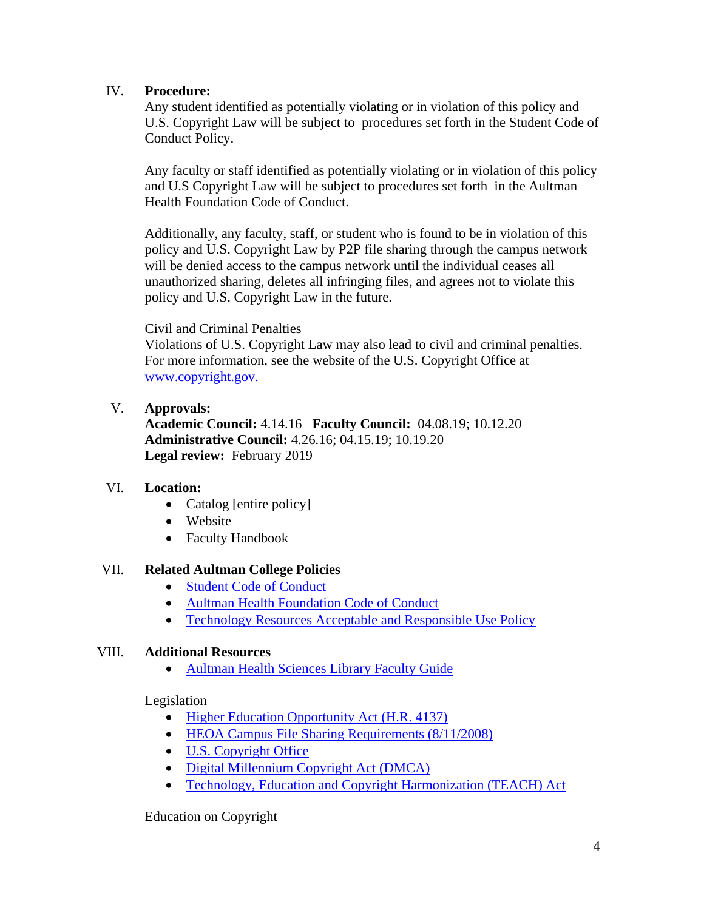# IV. **Procedure:**

Any student identified as potentially violating or in violation of this policy and U.S. Copyright Law will be subject to procedures set forth in the Student Code of Conduct Policy.

Any faculty or staff identified as potentially violating or in violation of this policy and U.S Copyright Law will be subject to procedures set forth in the Aultman Health Foundation Code of Conduct.

Additionally, any faculty, staff, or student who is found to be in violation of this policy and U.S. Copyright Law by P2P file sharing through the campus network will be denied access to the campus network until the individual ceases all unauthorized sharing, deletes all infringing files, and agrees not to violate this policy and U.S. Copyright Law in the future.

## Civil and Criminal Penalties

Violations of U.S. Copyright Law may also lead to civil and criminal penalties. For more information, see the website of the U.S. Copyright Office at [www.copyright.gov.](http://www.copyright.gov/)

# V. **Approvals:**

**Academic Council:** 4.14.16 **Faculty Council:** 04.08.19; 10.12.20 **Administrative Council:** 4.26.16; 04.15.19; 10.19.20 Legal review: February 2019

# VI. **Location:**

- Catalog [entire policy]
- Website
- Faculty Handbook

## VII. **Related Aultman College Policies**

- [Student Code of Conduct](https://policies.aultman.com/dotNet/documents/?docid=8988)
- [Aultman Health Foundation Code of Conduct](https://policies.aultman.com/dotNet/documents/?docid=2606)
- [Technology Resources Acceptable and Responsible Use Policy](https://policies.aultman.com/dotNet/documents/?docid=22564)

## VIII. **Additional Resources**

• [Aultman Health Sciences Library Faculty Guide](http://aultman.libguides.com/faculty)

## Legislation

- [Higher Education Opportunity Act \(H.R. 4137\)](https://www.govinfo.gov/content/pkg/PLAW-110publ315/pdf/PLAW-110publ315.pdf)
- [HEOA Campus File Sharing Requirements \(8/11/2008\)](https://www.acenet.edu/news-room/Documents/Memo-HEA-File%20Sharing-Provisions-081108.pdf)
- [U.S. Copyright Office](http://www.copyright.gov/)
- [Digital Millennium Copyright Act \(DMCA\)](http://www.copyright.gov/legislation/dmca.pdf)
- [Technology, Education and Copyright Harmonization \(TEACH\) Act](http://www.copyright.gov/legislation/pl107-273.pdf)

## Education on Copyright